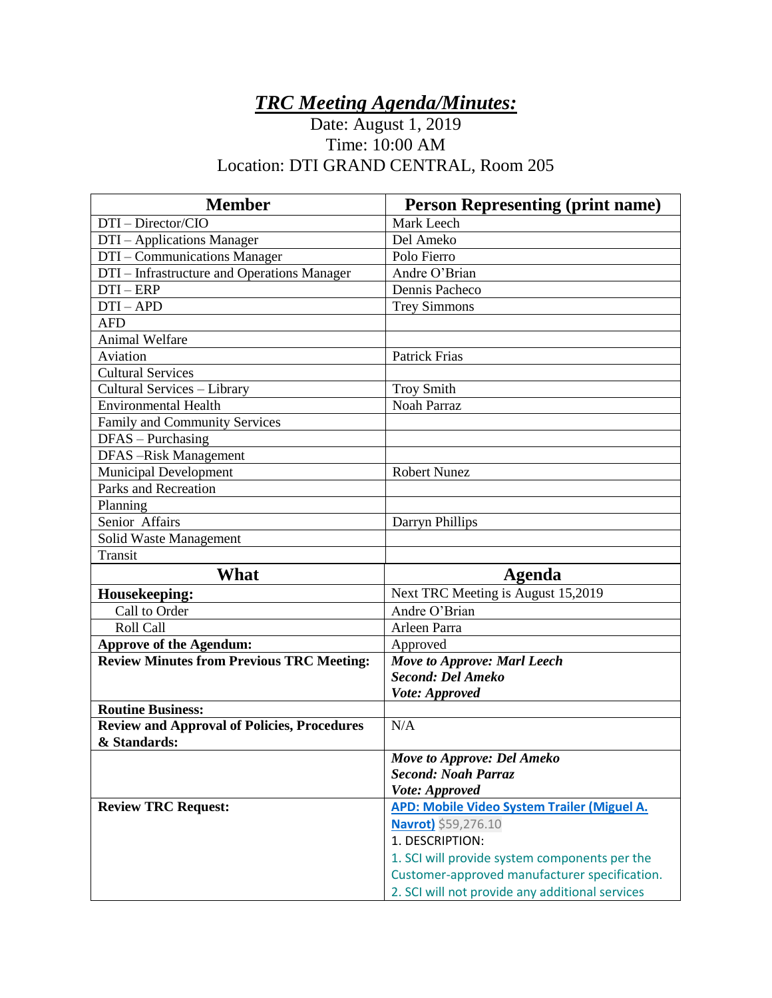## *TRC Meeting Agenda/Minutes:*

## Date: August 1, 2019 Time: 10:00 AM Location: DTI GRAND CENTRAL, Room 205

| <b>Member</b>                                      | <b>Person Representing (print name)</b>                                                          |
|----------------------------------------------------|--------------------------------------------------------------------------------------------------|
| DTI - Director/CIO                                 | Mark Leech                                                                                       |
| DTI - Applications Manager                         | Del Ameko                                                                                        |
| DTI – Communications Manager                       | Polo Fierro                                                                                      |
| DTI – Infrastructure and Operations Manager        | Andre O'Brian                                                                                    |
| $DTI - ERP$                                        | Dennis Pacheco                                                                                   |
| $DTI-APD$                                          | <b>Trey Simmons</b>                                                                              |
| <b>AFD</b>                                         |                                                                                                  |
| <b>Animal Welfare</b>                              |                                                                                                  |
| Aviation                                           | <b>Patrick Frias</b>                                                                             |
| <b>Cultural Services</b>                           |                                                                                                  |
| Cultural Services - Library                        | <b>Troy Smith</b>                                                                                |
| <b>Environmental Health</b>                        | Noah Parraz                                                                                      |
| Family and Community Services                      |                                                                                                  |
| $DFAS - Purchasing$                                |                                                                                                  |
| <b>DFAS-Risk Management</b>                        |                                                                                                  |
| <b>Municipal Development</b>                       | <b>Robert Nunez</b>                                                                              |
| Parks and Recreation                               |                                                                                                  |
| Planning                                           |                                                                                                  |
| Senior Affairs                                     | Darryn Phillips                                                                                  |
| Solid Waste Management                             |                                                                                                  |
| Transit                                            |                                                                                                  |
|                                                    |                                                                                                  |
| What                                               | <b>Agenda</b>                                                                                    |
| Housekeeping:                                      | Next TRC Meeting is August 15,2019                                                               |
| Call to Order                                      | Andre O'Brian                                                                                    |
| Roll Call                                          | Arleen Parra                                                                                     |
| <b>Approve of the Agendum:</b>                     | Approved                                                                                         |
| <b>Review Minutes from Previous TRC Meeting:</b>   | <b>Move to Approve: Marl Leech</b>                                                               |
|                                                    | Second: Del Ameko                                                                                |
|                                                    | Vote: Approved                                                                                   |
| <b>Routine Business:</b>                           |                                                                                                  |
| <b>Review and Approval of Policies, Procedures</b> | N/A                                                                                              |
| & Standards:                                       |                                                                                                  |
|                                                    | Move to Approve: Del Ameko                                                                       |
|                                                    | <b>Second: Noah Parraz</b>                                                                       |
|                                                    | Vote: Approved                                                                                   |
| <b>Review TRC Request:</b>                         | APD: Mobile Video System Trailer (Miguel A.                                                      |
|                                                    | Navrot) \$59,276.10                                                                              |
|                                                    | 1. DESCRIPTION:                                                                                  |
|                                                    | 1. SCI will provide system components per the                                                    |
|                                                    | Customer-approved manufacturer specification.<br>2. SCI will not provide any additional services |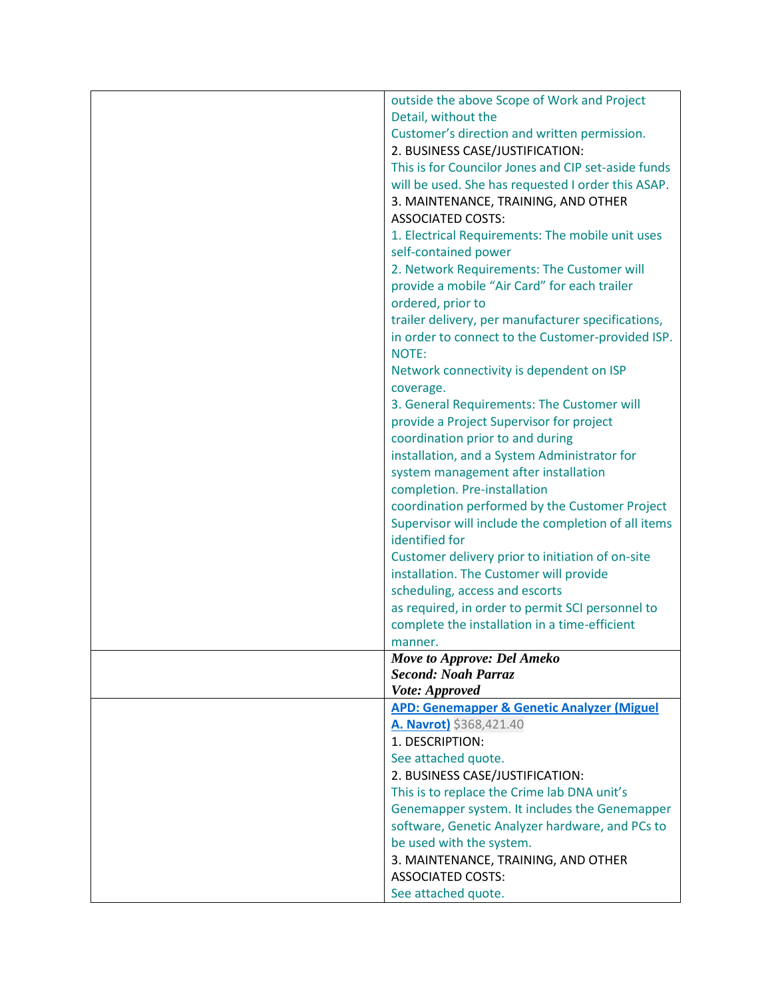| outside the above Scope of Work and Project                |
|------------------------------------------------------------|
| Detail, without the                                        |
| Customer's direction and written permission.               |
| 2. BUSINESS CASE/JUSTIFICATION:                            |
| This is for Councilor Jones and CIP set-aside funds        |
| will be used. She has requested I order this ASAP.         |
| 3. MAINTENANCE, TRAINING, AND OTHER                        |
| <b>ASSOCIATED COSTS:</b>                                   |
| 1. Electrical Requirements: The mobile unit uses           |
| self-contained power                                       |
| 2. Network Requirements: The Customer will                 |
| provide a mobile "Air Card" for each trailer               |
| ordered, prior to                                          |
| trailer delivery, per manufacturer specifications,         |
|                                                            |
| in order to connect to the Customer-provided ISP.<br>NOTE: |
|                                                            |
| Network connectivity is dependent on ISP                   |
| coverage.                                                  |
| 3. General Requirements: The Customer will                 |
| provide a Project Supervisor for project                   |
| coordination prior to and during                           |
| installation, and a System Administrator for               |
| system management after installation                       |
| completion. Pre-installation                               |
| coordination performed by the Customer Project             |
| Supervisor will include the completion of all items        |
| identified for                                             |
| Customer delivery prior to initiation of on-site           |
| installation. The Customer will provide                    |
| scheduling, access and escorts                             |
| as required, in order to permit SCI personnel to           |
| complete the installation in a time-efficient              |
| manner.                                                    |
| Move to Approve: Del Ameko                                 |
| <b>Second: Noah Parraz</b>                                 |
| Vote: Approved                                             |
| <b>APD: Genemapper &amp; Genetic Analyzer (Miguel</b>      |
| A. Navrot) \$368,421.40                                    |
| 1. DESCRIPTION:                                            |
| See attached quote.                                        |
| 2. BUSINESS CASE/JUSTIFICATION:                            |
| This is to replace the Crime lab DNA unit's                |
| Genemapper system. It includes the Genemapper              |
| software, Genetic Analyzer hardware, and PCs to            |
| be used with the system.                                   |
| 3. MAINTENANCE, TRAINING, AND OTHER                        |
| <b>ASSOCIATED COSTS:</b>                                   |
| See attached quote.                                        |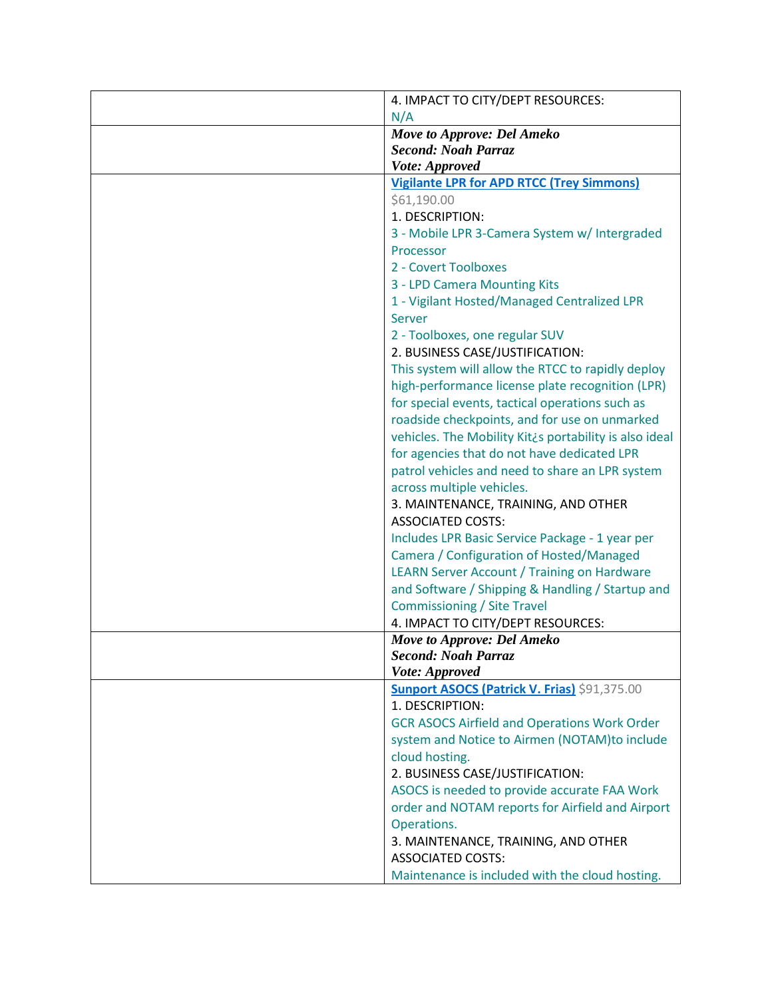| 4. IMPACT TO CITY/DEPT RESOURCES:                      |
|--------------------------------------------------------|
| N/A                                                    |
| Move to Approve: Del Ameko                             |
| <b>Second: Noah Parraz</b>                             |
| Vote: Approved                                         |
| <b>Vigilante LPR for APD RTCC (Trey Simmons)</b>       |
| \$61,190.00                                            |
| 1. DESCRIPTION:                                        |
| 3 - Mobile LPR 3-Camera System w/ Intergraded          |
| Processor                                              |
| 2 - Covert Toolboxes                                   |
| 3 - LPD Camera Mounting Kits                           |
| 1 - Vigilant Hosted/Managed Centralized LPR            |
| Server                                                 |
| 2 - Toolboxes, one regular SUV                         |
| 2. BUSINESS CASE/JUSTIFICATION:                        |
| This system will allow the RTCC to rapidly deploy      |
| high-performance license plate recognition (LPR)       |
| for special events, tactical operations such as        |
| roadside checkpoints, and for use on unmarked          |
| vehicles. The Mobility Kit¿s portability is also ideal |
| for agencies that do not have dedicated LPR            |
| patrol vehicles and need to share an LPR system        |
| across multiple vehicles.                              |
| 3. MAINTENANCE, TRAINING, AND OTHER                    |
| <b>ASSOCIATED COSTS:</b>                               |
| Includes LPR Basic Service Package - 1 year per        |
| Camera / Configuration of Hosted/Managed               |
| <b>LEARN Server Account / Training on Hardware</b>     |
| and Software / Shipping & Handling / Startup and       |
| <b>Commissioning / Site Travel</b>                     |
| 4. IMPACT TO CITY/DEPT RESOURCES:                      |
| Move to Approve: Del Ameko                             |
| <b>Second: Noah Parraz</b>                             |
| Vote: Approved                                         |
| <b>Sunport ASOCS (Patrick V. Frias) \$91,375.00</b>    |
| 1. DESCRIPTION:                                        |
| <b>GCR ASOCS Airfield and Operations Work Order</b>    |
| system and Notice to Airmen (NOTAM)to include          |
| cloud hosting.                                         |
| 2. BUSINESS CASE/JUSTIFICATION:                        |
| ASOCS is needed to provide accurate FAA Work           |
| order and NOTAM reports for Airfield and Airport       |
| Operations.                                            |
| 3. MAINTENANCE, TRAINING, AND OTHER                    |
| <b>ASSOCIATED COSTS:</b>                               |
| Maintenance is included with the cloud hosting.        |